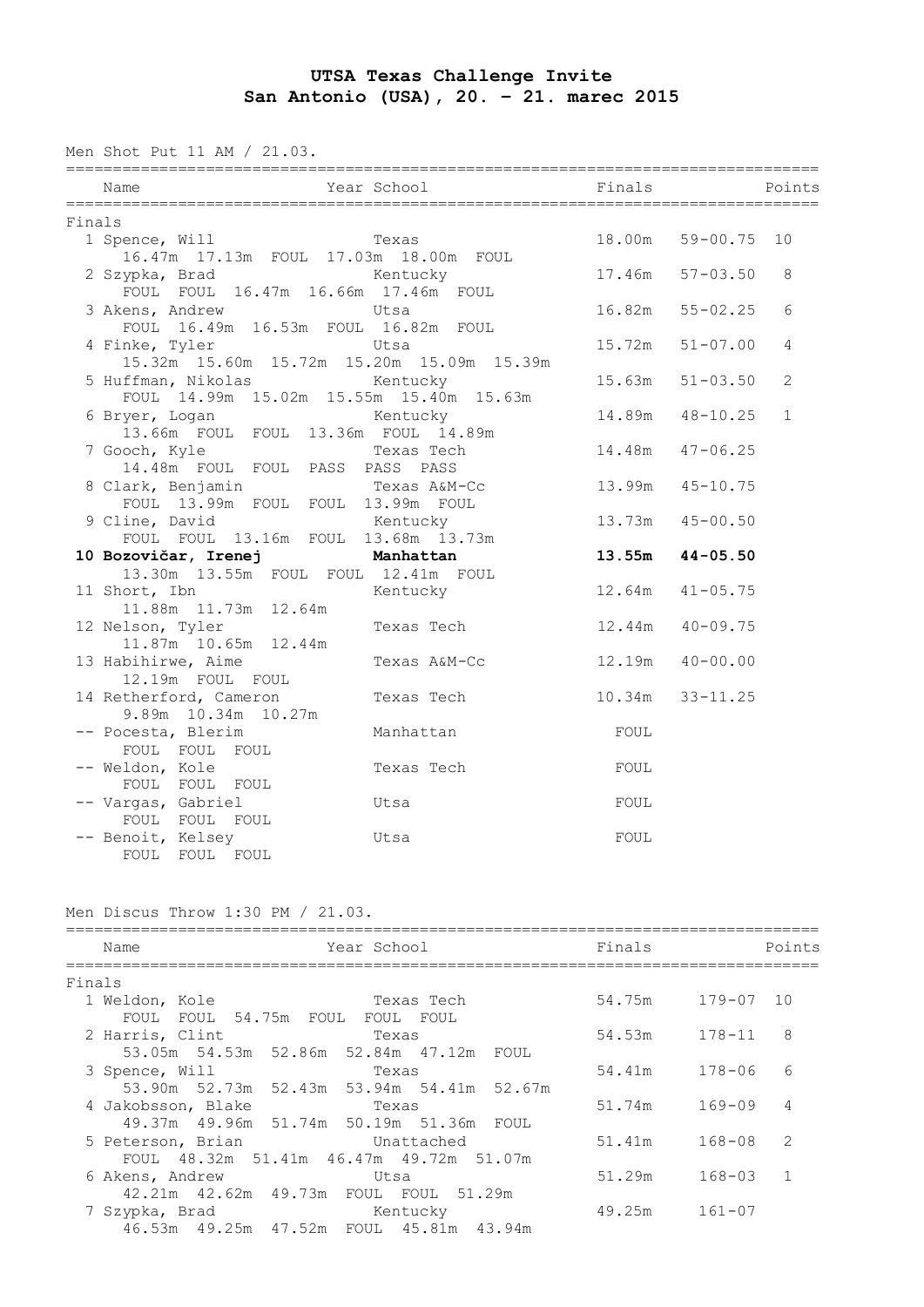## **UTSA Texas Challenge Invite San Antonio (USA), 20. – 21. marec 2015**

Men Shot Put 11 AM / 21.03.

| Name                                                                | Year School Finals |        | <b>Points</b>       |                |  |  |  |  |
|---------------------------------------------------------------------|--------------------|--------|---------------------|----------------|--|--|--|--|
| Finals                                                              |                    |        |                     |                |  |  |  |  |
| 1 Spence, Will<br>16.47m  17.13m  FOUL  17.03m  18.00m  FOUL        | Texas              |        | 18.00m 59-00.75 10  |                |  |  |  |  |
| 2 Szypka, Brad<br>FOUL FOUL 16.47m 16.66m 17.46m FOUL               | Kentucky           |        | $17.46m$ $57-03.50$ | 8              |  |  |  |  |
| 3 Akens, Andrew<br>FOUL 16.49m 16.53m FOUL 16.82m FOUL              | Utsa               |        | $16.82m$ $55-02.25$ | 6              |  |  |  |  |
| 4 Finke, Tyler<br>15.32m  15.60m  15.72m  15.20m  15.09m  15.39m    | Utsa               |        | $15.72m$ $51-07.00$ | 4              |  |  |  |  |
| 5 Huffman, Nikolas<br>FOUL 14.99m 15.02m 15.55m 15.40m 15.63m       | Kentucky           |        | $15.63m$ $51-03.50$ | $\overline{c}$ |  |  |  |  |
| 6 Bryer, Logan Kentucky<br>13.66m FOUL FOUL 13.36m FOUL 14.89m      |                    | 14.89m | $48 - 10.25$        | $\mathbf{1}$   |  |  |  |  |
| 7 Gooch, Kyle<br>14.48m FOUL FOUL PASS PASS PASS                    | Texas Tech         | 14.48m | $47 - 06.25$        |                |  |  |  |  |
| 8 Clark, Benjamin Texas A&M-Cc<br>FOUL 13.99m FOUL FOUL 13.99m FOUL |                    | 13.99m | $45 - 10.75$        |                |  |  |  |  |
| 9 Cline, David<br>FOUL FOUL 13.16m FOUL 13.68m 13.73m               | Kentucky           | 13.73m | $45 - 00.50$        |                |  |  |  |  |
| 10 Bozovičar, Irenej manhattan                                      |                    |        | $13.55m$ $44-05.50$ |                |  |  |  |  |
| 13.30m  13.55m  FOUL  FOUL  12.41m  FOUL                            |                    |        |                     |                |  |  |  |  |
| 11 Short, Ibn<br>lort, Ibn<br>11.88m 11.73m 12.64m                  | Kentucky           |        | $12.64m$ $41-05.75$ |                |  |  |  |  |
| 12 Nelson, Tyler<br>11.87m  10.65m  12.44m                          | Texas Tech         |        | $12.44m$ $40-09.75$ |                |  |  |  |  |
| 13 Habihirwe, Aime<br>12.19m FOUL FOUL                              | Texas A&M-Cc       | 12.19m | $40 - 00.00$        |                |  |  |  |  |
| 14 Retherford, Cameron<br>9.89m 10.34m 10.27m                       | Texas Tech         |        | $10.34m$ $33-11.25$ |                |  |  |  |  |
| -- Pocesta, Blerim<br>FOUL FOUL FOUL                                | Manhattan          | FOUL   |                     |                |  |  |  |  |
| -- Weldon, Kole<br>FOUL FOUL FOUL                                   | Texas Tech         | FOUL   |                     |                |  |  |  |  |
| -- Vargas, Gabriel<br>FOUL FOUL FOUL                                | Utsa               | FOUL   |                     |                |  |  |  |  |
| -- Benoit, Kelsey<br>FOUL FOUL FOUL                                 | Utsa               | FOUL   |                     |                |  |  |  |  |

Men Discus Throw 1:30 PM / 21.03.

|        | Year School<br>Name                          | Finals            |            | Points         |
|--------|----------------------------------------------|-------------------|------------|----------------|
| Finals |                                              |                   |            |                |
|        | Texas Tech<br>1 Weldon, Kole                 | 54.75m            | 179-07     | 10             |
|        | FOUL FOUL 54.75m FOUL FOUL FOUL              |                   |            |                |
|        | 2 Harris, Clint<br>Texas                     | $54.53m$ $178-11$ |            | 8              |
|        | 53.05m 54.53m 52.86m 52.84m 47.12m<br>FOUL   |                   |            |                |
|        | 3 Spence, Will<br>Texas                      | 54.41m 178-06     |            | 6              |
|        | 53.90m 52.73m 52.43m 53.94m 54.41m 52.67m    |                   |            |                |
|        | 4 Jakobsson, Blake<br>Texas                  | 51.74m            | 169-09     | $\overline{4}$ |
|        | 49.37m 49.96m 51.74m 50.19m 51.36m FOUL      |                   |            |                |
|        | 5 Peterson, Brian<br>Unattached              | 51.41m            | $168 - 08$ | -2             |
|        | FOUL 48.32m 51.41m 46.47m 49.72m 51.07m      |                   |            |                |
|        | 6 Akens, Andrew<br>Utsa                      | 51.29m            | $168 - 03$ | $\overline{1}$ |
|        | 42.21m  42.62m  49.73m  FOUL  FOUL  51.29m   |                   |            |                |
|        | 7 Szypka, Brad<br>Kentucky                   | 49.25m            | 161-07     |                |
|        | 46.53m  49.25m  47.52m  FOUL  45.81m  43.94m |                   |            |                |